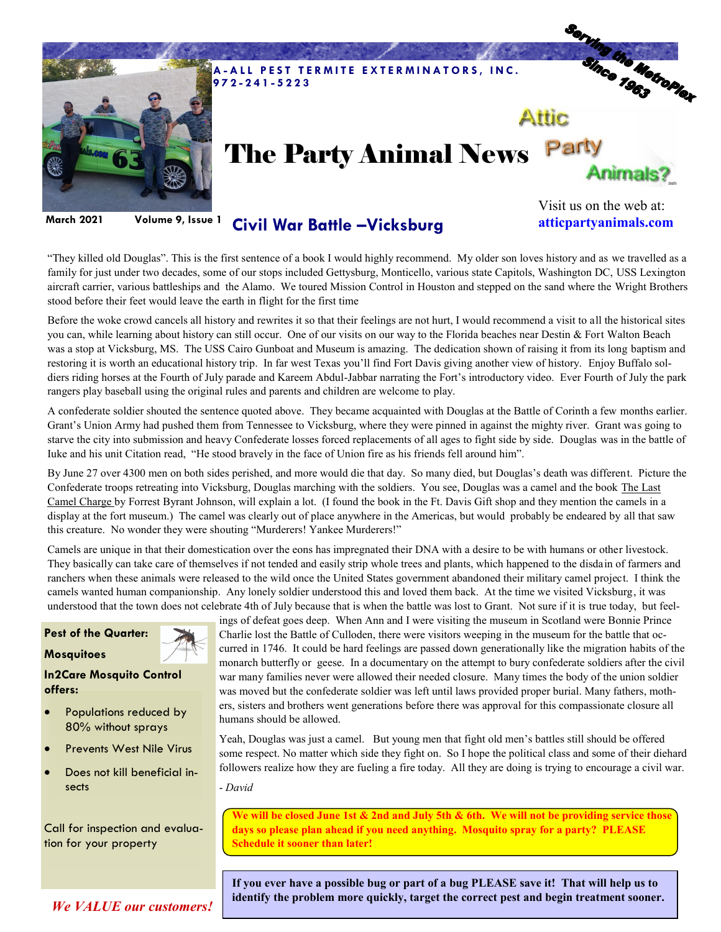

**March 2021 Volume 9, Issue 1**

**Civil War Battle –Vicksburg**

Visit us on the web at: **atticpartyanimals.com**

"They killed old Douglas". This is the first sentence of a book I would highly recommend. My older son loves history and as we travelled as a family for just under two decades, some of our stops included Gettysburg, Monticello, various state Capitols, Washington DC, USS Lexington aircraft carrier, various battleships and the Alamo. We toured Mission Control in Houston and stepped on the sand where the Wright Brothers stood before their feet would leave the earth in flight for the first time

Before the woke crowd cancels all history and rewrites it so that their feelings are not hurt, I would recommend a visit to all the historical sites you can, while learning about history can still occur. One of our visits on our way to the Florida beaches near Destin & Fort Walton Beach was a stop at Vicksburg, MS. The USS Cairo Gunboat and Museum is amazing. The dedication shown of raising it from its long baptism and restoring it is worth an educational history trip. In far west Texas you'll find Fort Davis giving another view of history. Enjoy Buffalo soldiers riding horses at the Fourth of July parade and Kareem Abdul-Jabbar narrating the Fort's introductory video. Ever Fourth of July the park rangers play baseball using the original rules and parents and children are welcome to play.

A confederate soldier shouted the sentence quoted above. They became acquainted with Douglas at the Battle of Corinth a few months earlier. Grant's Union Army had pushed them from Tennessee to Vicksburg, where they were pinned in against the mighty river. Grant was going to starve the city into submission and heavy Confederate losses forced replacements of all ages to fight side by side. Douglas was in the battle of Iuke and his unit Citation read, "He stood bravely in the face of Union fire as his friends fell around him".

By June 27 over 4300 men on both sides perished, and more would die that day. So many died, but Douglas's death was different. Picture the Confederate troops retreating into Vicksburg, Douglas marching with the soldiers. You see, Douglas was a camel and the book The Last Camel Charge by Forrest Byrant Johnson, will explain a lot. (I found the book in the Ft. Davis Gift shop and they mention the camels in a display at the fort museum.) The camel was clearly out of place anywhere in the Americas, but would probably be endeared by all that saw this creature. No wonder they were shouting "Murderers! Yankee Murderers!"

Camels are unique in that their domestication over the eons has impregnated their DNA with a desire to be with humans or other livestock. They basically can take care of themselves if not tended and easily strip whole trees and plants, which happened to the disdain of farmers and ranchers when these animals were released to the wild once the United States government abandoned their military camel project. I think the camels wanted human companionship. Any lonely soldier understood this and loved them back. At the time we visited Vicksburg, it was understood that the town does not celebrate 4th of July because that is when the battle was lost to Grant. Not sure if it is true today, but feel-

## **Pest of the Quarter:**



**In2Care Mosquito Control offers:** 

- Populations reduced by 80% without sprays
- Prevents West Nile Virus
- Does not kill beneficial insects

Call for inspection and evaluation for your property

ings of defeat goes deep. When Ann and I were visiting the museum in Scotland were Bonnie Prince Charlie lost the Battle of Culloden, there were visitors weeping in the museum for the battle that occurred in 1746. It could be hard feelings are passed down generationally like the migration habits of the monarch butterfly or geese. In a documentary on the attempt to bury confederate soldiers after the civil war many families never were allowed their needed closure. Many times the body of the union soldier was moved but the confederate soldier was left until laws provided proper burial. Many fathers, mothers, sisters and brothers went generations before there was approval for this compassionate closure all humans should be allowed.

Yeah, Douglas was just a camel. But young men that fight old men's battles still should be offered some respect. No matter which side they fight on. So I hope the political class and some of their diehard followers realize how they are fueling a fire today. All they are doing is trying to encourage a civil war.

- *David*

**We will be closed June 1st & 2nd and July 5th & 6th. We will not be providing service those days so please plan ahead if you need anything. Mosquito spray for a party? PLEASE Schedule it sooner than later!** 

**If you ever have a possible bug or part of a bug PLEASE save it! That will help us to identify the problem more quickly, target the correct pest and begin treatment sooner.** 

*We VALUE our customers!*